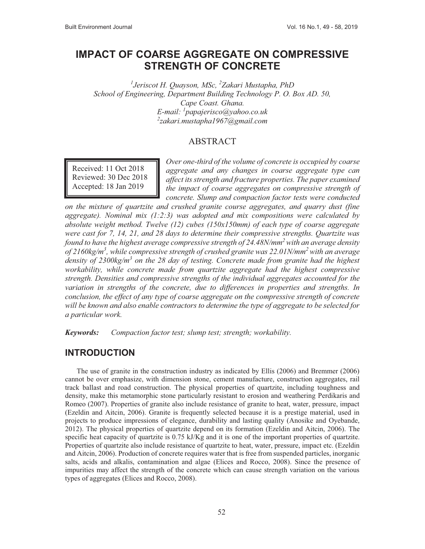# **IMPACT OF COARSE AGGREGATE ON COMPRESSIVE STRENGTH OF CONCRETE**

*1 Jeriscot H. Quayson, MSc, 2 Zakari Mustapha, PhD School of Engineering, Department Building Technology P. O. Box AD. 50, Cape Coast. Ghana. E-mail: 1 papajerisco@yahoo.co.uk 2 zakari.mustapha1967@gmail.com* 

#### ABSTRACT

Received: 11 Oct 2018 Reviewed: 30 Dec 2018 Accepted: 18 Jan 2019

*Over one-third of the volume of concrete is occupied by coarse aggregate and any changes in coarse aggregate type can affect its strength and fracture properties. The paper examined the impact of coarse aggregates on compressive strength of concrete. Slump and compaction factor tests were conducted* 

*on the mixture of quartzite and crushed granite course aggregates, and quarry dust (fine aggregate). Nominal mix (1:2:3) was adopted and mix compositions were calculated by absolute weight method. Twelve (12) cubes (150x150mm) of each type of coarse aggregate were cast for 7, 14, 21, and 28 days to determine their compressive strengths. Quartzite was found to have the highest average compressive strength of 24.48N/mm2 with an average density of 2160kg/m3 , while compressive strength of crushed granite was 22.01N/mm2 with an average density of 2300kg/m<sup>3</sup> on the 28 day of testing. Concrete made from granite had the highest workability, while concrete made from quartzite aggregate had the highest compressive strength. Densities and compressive strengths of the individual aggregates accounted for the variation in strengths of the concrete, due to differences in properties and strengths. In conclusion, the effect of any type of coarse aggregate on the compressive strength of concrete will be known and also enable contractors to determine the type of aggregate to be selected for a particular work.* 

*Keywords: Compaction factor test; slump test; strength; workability.* 

# **INTRODUCTION**

The use of granite in the construction industry as indicated by Ellis (2006) and Bremmer (2006) cannot be over emphasize, with dimension stone, cement manufacture, construction aggregates, rail track ballast and road construction. The physical properties of quartzite, including toughness and density, make this metamorphic stone particularly resistant to erosion and weathering Perdikaris and Romeo (2007). Properties of granite also include resistance of granite to heat, water, pressure, impact (Ezeldin and Aitcin, 2006). Granite is frequently selected because it is a prestige material, used in projects to produce impressions of elegance, durability and lasting quality (Anosike and Oyebande, 2012). The physical properties of quartzite depend on its formation (Ezeldin and Aitcin, 2006). The specific heat capacity of quartzite is 0.75 kJ/Kg and it is one of the important properties of quartzite. Properties of quartzite also include resistance of quartzite to heat, water, pressure, impact etc. (Ezeldin and Aitcin, 2006). Production of concrete requires water that is free from suspended particles, inorganic salts, acids and alkalis, contamination and algae (Elices and Rocco, 2008). Since the presence of impurities may affect the strength of the concrete which can cause strength variation on the various types of aggregates (Elices and Rocco, 2008).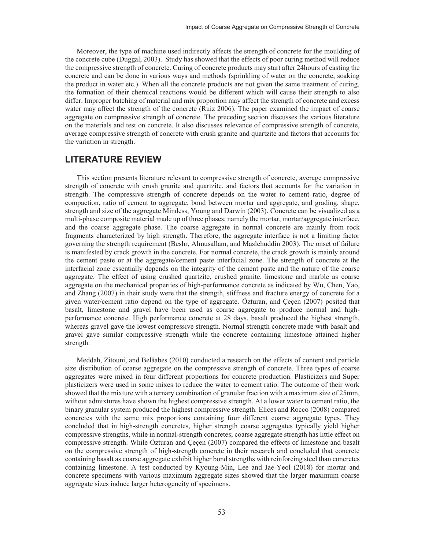Moreover, the type of machine used indirectly affects the strength of concrete for the moulding of the concrete cube (Duggal, 2003). Study has showed that the effects of poor curing method will reduce the compressive strength of concrete. Curing of concrete products may start after 24hours of casting the concrete and can be done in various ways and methods (sprinkling of water on the concrete, soaking the product in water etc.). When all the concrete products are not given the same treatment of curing, the formation of their chemical reactions would be different which will cause their strength to also differ. Improper batching of material and mix proportion may affect the strength of concrete and excess water may affect the strength of the concrete (Ruiz 2006). The paper examined the impact of coarse aggregate on compressive strength of concrete. The preceding section discusses the various literature on the materials and test on concrete. It also discusses relevance of compressive strength of concrete, average compressive strength of concrete with crush granite and quartzite and factors that accounts for the variation in strength.

## **LITERATURE REVIEW**

This section presents literature relevant to compressive strength of concrete, average compressive strength of concrete with crush granite and quartzite, and factors that accounts for the variation in strength. The compressive strength of concrete depends on the water to cement ratio, degree of compaction, ratio of cement to aggregate, bond between mortar and aggregate, and grading, shape, strength and size of the aggregate Mindess, Young and Darwin (2003). Concrete can be visualized as a multi-phase composite material made up of three phases; namely the mortar, mortar/aggregate interface, and the coarse aggregate phase. The coarse aggregate in normal concrete are mainly from rock fragments characterized by high strength. Therefore, the aggregate interface is not a limiting factor governing the strength requirement (Beshr, Almusallam, and Maslehuddin 2003). The onset of failure is manifested by crack growth in the concrete. For normal concrete, the crack growth is mainly around the cement paste or at the aggregate/cement paste interfacial zone. The strength of concrete at the interfacial zone essentially depends on the integrity of the cement paste and the nature of the coarse aggregate. The effect of using crushed quartzite, crushed granite, limestone and marble as coarse aggregate on the mechanical properties of high-performance concrete as indicated by Wu, Chen, Yao, and Zhang (2007) in their study were that the strength, stiffness and fracture energy of concrete for a given water/cement ratio depend on the type of aggregate. Özturan, and Çeçen (2007) posited that basalt, limestone and gravel have been used as coarse aggregate to produce normal and highperformance concrete. High performance concrete at 28 days, basalt produced the highest strength, whereas gravel gave the lowest compressive strength. Normal strength concrete made with basalt and gravel gave similar compressive strength while the concrete containing limestone attained higher strength.

Meddah, Zitouni, and Belâabes (2010) conducted a research on the effects of content and particle size distribution of coarse aggregate on the compressive strength of concrete. Three types of coarse aggregates were mixed in four different proportions for concrete production. Plasticizers and Super plasticizers were used in some mixes to reduce the water to cement ratio. The outcome of their work showed that the mixture with a ternary combination of granular fraction with a maximum size of 25mm, without admixtures have shown the highest compressive strength. At a lower water to cement ratio, the binary granular system produced the highest compressive strength. Elices and Rocco (2008) compared concretes with the same mix proportions containing four different coarse aggregate types. They concluded that in high-strength concretes, higher strength coarse aggregates typically yield higher compressive strengths, while in normal-strength concretes; coarse aggregate strength has little effect on compressive strength. While Özturan and Çeçen (2007) compared the effects of limestone and basalt on the compressive strength of high-strength concrete in their research and concluded that concrete containing basalt as coarse aggregate exhibit higher bond strengths with reinforcing steel than concretes containing limestone. A test conducted by Kyoung-Min, Lee and Jae-Yeol (2018) for mortar and concrete specimens with various maximum aggregate sizes showed that the larger maximum coarse aggregate sizes induce larger heterogeneity of specimens.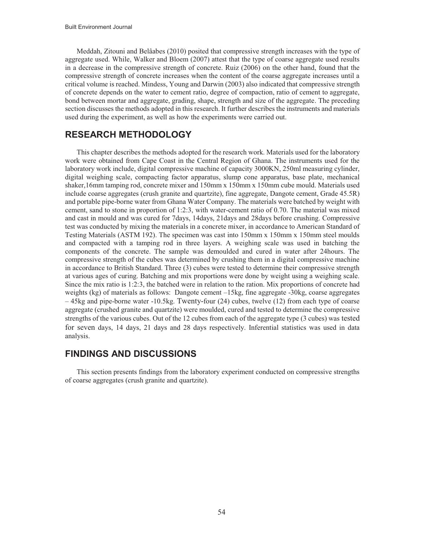Meddah, Zitouni and Belâabes (2010) posited that compressive strength increases with the type of aggregate used. While, Walker and Bloem (2007) attest that the type of coarse aggregate used results in a decrease in the compressive strength of concrete. Ruiz (2006) on the other hand, found that the compressive strength of concrete increases when the content of the coarse aggregate increases until a critical volume is reached. Mindess, Young and Darwin (2003) also indicated that compressive strength of concrete depends on the water to cement ratio, degree of compaction, ratio of cement to aggregate, bond between mortar and aggregate, grading, shape, strength and size of the aggregate. The preceding section discusses the methods adopted in this research. It further describes the instruments and materials used during the experiment, as well as how the experiments were carried out.

## **RESEARCH METHODOLOGY**

This chapter describes the methods adopted for the research work. Materials used for the laboratory work were obtained from Cape Coast in the Central Region of Ghana. The instruments used for the laboratory work include, digital compressive machine of capacity 3000KN, 250ml measuring cylinder, digital weighing scale, compacting factor apparatus, slump cone apparatus, base plate, mechanical shaker,16mm tamping rod, concrete mixer and 150mm x 150mm x 150mm cube mould. Materials used include coarse aggregates (crush granite and quartzite), fine aggregate, Dangote cement, Grade 45.5R) and portable pipe-borne water from Ghana Water Company. The materials were batched by weight with cement, sand to stone in proportion of 1:2:3, with water-cement ratio of 0.70. The material was mixed and cast in mould and was cured for 7days, 14days, 21days and 28days before crushing. Compressive test was conducted by mixing the materials in a concrete mixer, in accordance to American Standard of Testing Materials (ASTM 192). The specimen was cast into 150mm x 150mm x 150mm steel moulds and compacted with a tamping rod in three layers. A weighing scale was used in batching the components of the concrete. The sample was demoulded and cured in water after 24hours. The compressive strength of the cubes was determined by crushing them in a digital compressive machine in accordance to British Standard. Three (3) cubes were tested to determine their compressive strength at various ages of curing. Batching and mix proportions were done by weight using a weighing scale. Since the mix ratio is 1:2:3, the batched were in relation to the ration. Mix proportions of concrete had weights (kg) of materials as follows: Dangote cement –15kg, fine aggregate -30kg, coarse aggregates – 45kg and pipe-borne water -10.5kg. Twenty-four (24) cubes, twelve (12) from each type of coarse aggregate (crushed granite and quartzite) were moulded, cured and tested to determine the compressive strengths of the various cubes. Out of the 12 cubes from each of the aggregate type (3 cubes) was tested for seven days, 14 days, 21 days and 28 days respectively. Inferential statistics was used in data analysis.

### **FINDINGS AND DISCUSSIONS**

This section presents findings from the laboratory experiment conducted on compressive strengths of coarse aggregates (crush granite and quartzite).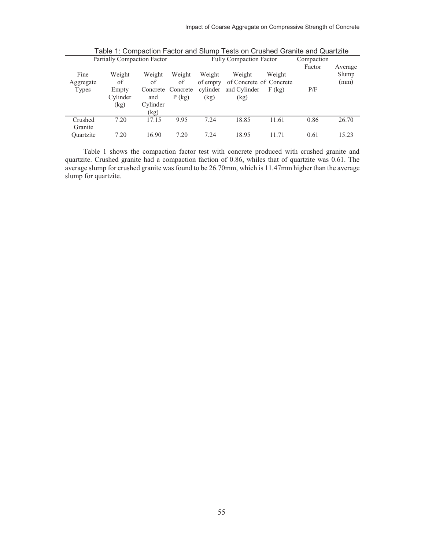|                            | Partially Compaction Factor               |                                         |                                               |                                        | Fully Compaction Factor                                                       |                    | Compaction    |                          |
|----------------------------|-------------------------------------------|-----------------------------------------|-----------------------------------------------|----------------------------------------|-------------------------------------------------------------------------------|--------------------|---------------|--------------------------|
| Fine<br>Aggregate<br>Types | Weight<br>of<br>Empty<br>Cylinder<br>(kg) | Weight<br>of<br>and<br>Cylinder<br>(kg) | Weight<br>of<br>Concrete Concrete<br>$P$ (kg) | Weight<br>of empty<br>cylinder<br>(kg) | Weight<br>of Concrete of Concrete<br>and Cylinder<br>$\left(\text{kg}\right)$ | Weight<br>$F$ (kg) | Factor<br>P/F | Average<br>Slump<br>(mm) |
| Crushed<br>Granite         | 7.20                                      | 17.15                                   | 9.95                                          | 7.24                                   | 18.85                                                                         | 11.61              | 0.86          | 26.70                    |
| Ouartzite                  | 7.20                                      | 16.90                                   | 7.20                                          | 7.24                                   | 18.95                                                                         | 11.71              | 0.61          | 15.23                    |

Table 1: Compaction Factor and Slump Tests on Crushed Granite and Quartzite

Table 1 shows the compaction factor test with concrete produced with crushed granite and quartzite. Crushed granite had a compaction faction of 0.86, whiles that of quartzite was 0.61. The average slump for crushed granite was found to be 26.70mm, which is 11.47mm higher than the average slump for quartzite.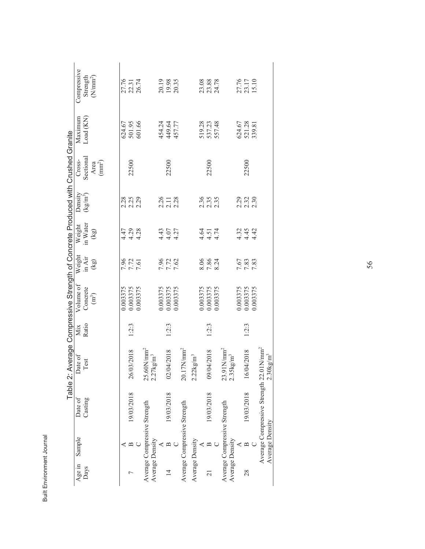|                 |                              |                                                     | Table 2: Average Compressive Strength of Concrete Produced with Crushed Granite |       |                   |                      |                                      |                                 |                            |                  |                         |
|-----------------|------------------------------|-----------------------------------------------------|---------------------------------------------------------------------------------|-------|-------------------|----------------------|--------------------------------------|---------------------------------|----------------------------|------------------|-------------------------|
| Age in          | Sample                       | Date of                                             | Date of                                                                         | Mix   | Volume of         | Weight               | Weight                               |                                 | Cross-                     | Maximum          | Compressive             |
| Days            |                              | Casting                                             | Test                                                                            | Ratio | Concrete          | in Air               | in Water                             | Density<br>(kg/m <sup>3</sup> ) | Sectional                  | Load (KN)        | Strength                |
|                 |                              |                                                     |                                                                                 |       | (m <sup>3</sup> ) | (kg)                 | $\left( \textrm{kg}\right)$          |                                 | Area<br>(mm <sup>2</sup> ) |                  | (N/nm <sup>2</sup> )    |
|                 |                              |                                                     |                                                                                 |       |                   |                      |                                      |                                 |                            |                  |                         |
|                 |                              |                                                     |                                                                                 |       | 0.003375          |                      |                                      |                                 |                            |                  |                         |
|                 | $\mathbf{\Omega}$            | 19/03/2018                                          | 26/03/2018                                                                      | 1:2:3 | 0.003375          | 7.96<br>7.72<br>7.61 | $4.79$<br>$4.79$<br>$4.28$           | 2.25<br>2.25<br>2.29            | 22500                      | 624.67<br>501.95 | 27.76<br>22.31<br>26.74 |
|                 |                              |                                                     |                                                                                 |       | 0.003375          |                      |                                      |                                 |                            | 601.66           |                         |
|                 | Average Compressive Strength |                                                     | $25.60$ N/mm <sup>2</sup>                                                       |       |                   |                      |                                      |                                 |                            |                  |                         |
|                 | Average Density              |                                                     | $2.27 \text{kg/m}^3$                                                            |       |                   |                      |                                      |                                 |                            |                  |                         |
|                 |                              |                                                     |                                                                                 |       | 0.003375          |                      |                                      |                                 |                            | 454.24           |                         |
| $\overline{4}$  | ≃                            | 19/03/2018                                          | 02/04/2018                                                                      | 1:2:3 | 0.003375          | 7.96<br>7.72<br>7.62 | 4.43<br>4.07<br>4.27                 | 2.26<br>2.11<br>2.28            | 22500                      | 449.64           | 20.19<br>19.98          |
|                 |                              |                                                     |                                                                                 |       | 0.003375          |                      |                                      |                                 |                            | 457.77           | 20.35                   |
|                 | Average Compressive Strength |                                                     | $20.17 \mathrm{N/mm^2}$                                                         |       |                   |                      |                                      |                                 |                            |                  |                         |
|                 | Average Density              |                                                     | $2.22 \text{kg/m}^3$                                                            |       |                   |                      |                                      |                                 |                            |                  |                         |
|                 |                              |                                                     |                                                                                 |       | 0.003375          | 8.06                 |                                      |                                 |                            | 519.28           |                         |
| $\overline{21}$ | മ                            | 19/03/2018                                          | 09/04/2018                                                                      | 1:2:3 | 0.003375          | 7.86                 | $4.51$<br>$4.51$<br>$4.74$           | 2.36<br>2.35<br>2.35            | 22500                      | 537.23           | 23.08<br>23.88<br>24.78 |
|                 |                              |                                                     |                                                                                 |       | 0.003375          | 8.24                 |                                      |                                 |                            | 557.48           |                         |
|                 | Average Compressive Strength |                                                     | $23.91$ N/mm <sup>2</sup>                                                       |       |                   |                      |                                      |                                 |                            |                  |                         |
|                 | Average Density              |                                                     | $2.35$ kg/m <sup>3</sup>                                                        |       |                   |                      |                                      |                                 |                            |                  |                         |
|                 |                              |                                                     |                                                                                 |       | 0.003375          |                      |                                      |                                 |                            | 624.67<br>521.28 | 27.76<br>23.17<br>15.10 |
| 28              | ⅏                            | 19/03/2018                                          | 16/04/2018                                                                      | 1:2:3 | 0.003375          | 7.67<br>7.83<br>7.83 | $32$<br>$45$<br>$45$<br>$42$<br>$44$ | 2.33<br>2.32<br>2.30            | 22500                      |                  |                         |
|                 |                              |                                                     |                                                                                 |       | 0.003375          |                      |                                      |                                 |                            | 339.81           |                         |
|                 |                              | Average Compressive Strength 22.01N/mm <sup>2</sup> |                                                                                 |       |                   |                      |                                      |                                 |                            |                  |                         |
|                 | Average Density              |                                                     | $2.30$ kg/m <sup>3</sup>                                                        |       |                   |                      |                                      |                                 |                            |                  |                         |

| ł |  |
|---|--|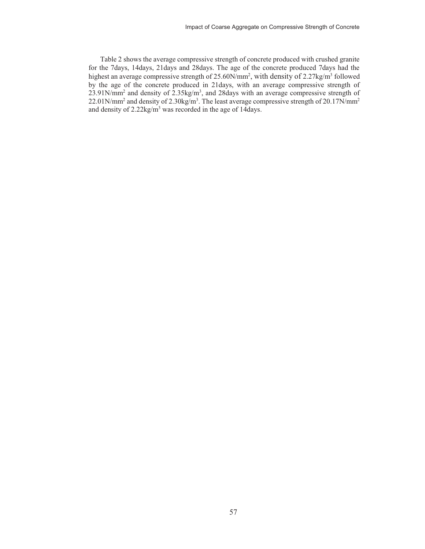Table 2 shows the average compressive strength of concrete produced with crushed granite for the 7days, 14days, 21days and 28days. The age of the concrete produced 7days had the highest an average compressive strength of 25.60N/mm<sup>2</sup>, with density of 2.27kg/m<sup>3</sup> followed by the age of the concrete produced in 21days, with an average compressive strength of  $23.91$ N/mm<sup>2</sup> and density of  $2.35$ kg/m<sup>3</sup>, and 28days with an average compressive strength of 22.01N/mm<sup>2</sup> and density of 2.30kg/m<sup>3</sup>. The least average compressive strength of 20.17N/mm<sup>2</sup> and density of 2.22kg/m<sup>3</sup> was recorded in the age of 14days.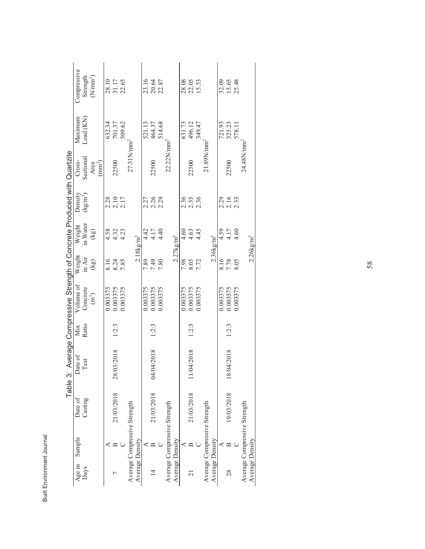|                     |        | Table 3:                     |                |       | Average Compressive Strength of Concrete Produced with Quartzite |        |                          |                            |                                 |           |                         |
|---------------------|--------|------------------------------|----------------|-------|------------------------------------------------------------------|--------|--------------------------|----------------------------|---------------------------------|-----------|-------------------------|
| Age in              | Sample | Date of                      | Date of        | Mix   | Volume of                                                        | Weight | Weight                   | Density                    | Cross-                          | Maximum   | Compressive             |
| Days                |        | Casting                      | Test           | Ratio | Concrete                                                         | in Air | in Water                 | $(kg/m^3)$                 | Sectional                       | Load (KN) | Strength                |
|                     |        |                              |                |       | $\binom{m^3}{m}$                                                 | (kg)   | (kg)                     |                            | Area                            |           | (N/nnn <sup>2</sup> )   |
|                     |        |                              |                |       |                                                                  |        |                          |                            | $\left( \mathrm{mm}^{2}\right)$ |           |                         |
|                     |        |                              |                |       | 0.003375                                                         | 8.16   | 4.58                     |                            |                                 | 632.34    |                         |
|                     | ≃      | 21/03/2018                   | 03/2018<br>28/ | 1:2:3 | 0.003375                                                         | 8.24   | $4.32$<br>$4.23$         | $2.28$<br>$2.10$<br>$2.17$ | 22500                           | 701.37    | 28.10<br>31.17<br>22.65 |
|                     |        |                              |                |       | 0.003375                                                         | 7.85   |                          |                            |                                 | 509.62    |                         |
|                     |        | Average Compressive Strength |                |       |                                                                  |        |                          |                            | $27.3$ $1N/mm2$                 |           |                         |
| Average Density     |        |                              |                |       |                                                                  |        | $2.18$ kg/m <sup>3</sup> |                            |                                 |           |                         |
|                     |        |                              |                |       | 0.003375                                                         | 7.89   | $4.17$<br>$4.17$         |                            |                                 | 521.13    | 23.16                   |
| $\overline{4}$      |        | 21/03/2018                   | 04/04/2018     | 1:2:3 | 0.003375                                                         | 7.49   |                          | 2.26<br>2.28<br>2.29       | 22500                           | 464.37    | 20.64                   |
|                     |        |                              |                |       | 0.003375                                                         | 7.80   | 4.40                     |                            |                                 | 514.68    | 22.87                   |
|                     |        | Average Compressive Strength |                |       |                                                                  |        |                          |                            | $22.22$ N/mm <sup>2</sup>       |           |                         |
| Average Density     |        |                              |                |       |                                                                  |        | $2.27$ $kg/m3$           |                            |                                 |           |                         |
|                     |        |                              |                |       | 0.003375                                                         | 7.98   | 4.60                     |                            |                                 | 631.73    |                         |
| $\overline{\Omega}$ | ≃      | 21/03/2018                   | 04/2018        | 1:2:3 | 0.003375                                                         | 8.05   | 4.63                     | 236<br>235<br>236          | 22500                           | 496.12    | 28.08<br>22.05<br>15.53 |
|                     |        |                              |                |       | 0.003375                                                         | 7.72   | 4.45                     |                            |                                 | 349.47    |                         |
|                     |        | Average Compressive Strength |                |       |                                                                  |        |                          |                            | $21.89$ N/mm <sup>2</sup>       |           |                         |
| Average Density     |        |                              |                |       |                                                                  |        | $2.36$ kg/m <sup>3</sup> |                            |                                 |           |                         |
|                     |        |                              |                |       | 0.003375                                                         | 8.16   | $4.17$<br>$4.17$         |                            |                                 | 721.93    | 32.09                   |
| 28                  |        | 19/03/2018                   | 18/04/2018     | 1:2:3 | 0.003375                                                         | 7.78   |                          | 2.29<br>2.16<br>2.33       | 22500                           | 325.23    | 15.65<br>25.48          |
|                     |        |                              |                |       | 0.003375                                                         | 8.05   | 4.60                     |                            |                                 | 578.11    |                         |
|                     |        | Average Compressive Strength |                |       |                                                                  |        |                          |                            | 24.48N/mm                       |           |                         |
| Average Density     |        |                              |                |       |                                                                  |        | $2.26$ kg/m <sup>3</sup> |                            |                                 |           |                         |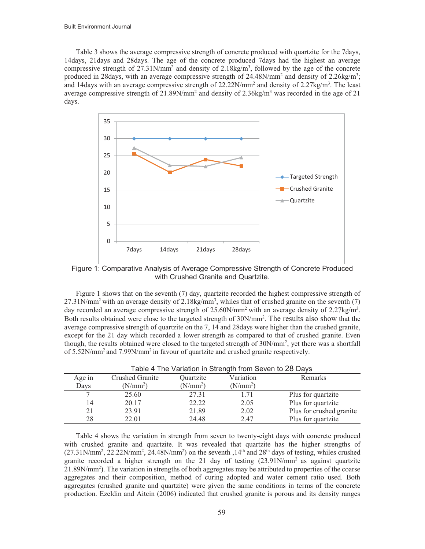Table 3 shows the average compressive strength of concrete produced with quartzite for the 7days, 14days, 21days and 28days. The age of the concrete produced 7days had the highest an average compressive strength of 27.31N/mm<sup>2</sup> and density of 2.18kg/m<sup>3</sup>, followed by the age of the concrete produced in 28days, with an average compressive strength of 24.48N/mm<sup>2</sup> and density of 2.26kg/m<sup>3</sup>; and 14days with an average compressive strength of  $22.22N/mm^2$  and density of  $2.27 kg/m^3$ . The least average compressive strength of  $21.89$ N/mm<sup>2</sup> and density of  $2.36$ kg/m<sup>3</sup> was recorded in the age of  $21$ days.



Figure 1: Comparative Analysis of Average Compressive Strength of Concrete Produced with Crushed Granite and Quartzite.

Figure 1 shows that on the seventh (7) day, quartzite recorded the highest compressive strength of  $27.31$ N/mm<sup>2</sup> with an average density of 2.18kg/mm<sup>3</sup>, whiles that of crushed granite on the seventh (7) day recorded an average compressive strength of  $25.60$ N/mm<sup>2</sup> with an average density of  $2.27$ kg/m<sup>3</sup>. Both results obtained were close to the targeted strength of  $30N/mm^2$ . The results also show that the average compressive strength of quartzite on the 7, 14 and 28days were higher than the crushed granite, except for the 21 day which recorded a lower strength as compared to that of crushed granite. Even though, the results obtained were closed to the targeted strength of 30N/mm<sup>2</sup>, yet there was a shortfall of 5.52N/mm2 and 7.99N/mm2 in favour of quartzite and crushed granite respectively.

|        |                      |                      | Table 4 The Variation in Strength from Seven to 28 Days |                          |
|--------|----------------------|----------------------|---------------------------------------------------------|--------------------------|
| Age in | Crushed Granite      | Quartzite            | Variation                                               | Remarks                  |
| Days   | (N/mm <sup>2</sup> ) | (N/mm <sup>2</sup> ) | (N/mm <sup>2</sup> )                                    |                          |
|        | 25.60                | 27.31                | 1.71                                                    | Plus for quartzite       |
| 14     | 20.17                | 22.22                | 2.05                                                    | Plus for quartzite       |
| 21     | 23.91                | 21.89                | 2.02                                                    | Plus for crushed granite |
| 28     | 22.01                | 24.48                | 2.47                                                    | Plus for quartzite       |

Table 4 shows the variation in strength from seven to twenty-eight days with concrete produced with crushed granite and quartzite. It was revealed that quartzite has the higher strengths of  $(27.31 \text{N/mm}^2, 22.22 \text{N/mm}^2, 24.48 \text{N/mm}^2)$  on the seventh ,  $14^{\text{th}}$  and  $28^{\text{th}}$  days of testing, whiles crushed granite recorded a higher strength on the 21 day of testing  $(23.91N/mm^2$  as against quartzite 21.89N/mm<sup>2</sup>). The variation in strengths of both aggregates may be attributed to properties of the coarse aggregates and their composition, method of curing adopted and water cement ratio used. Both aggregates (crushed granite and quartzite) were given the same conditions in terms of the concrete production. Ezeldin and Aitcin (2006) indicated that crushed granite is porous and its density ranges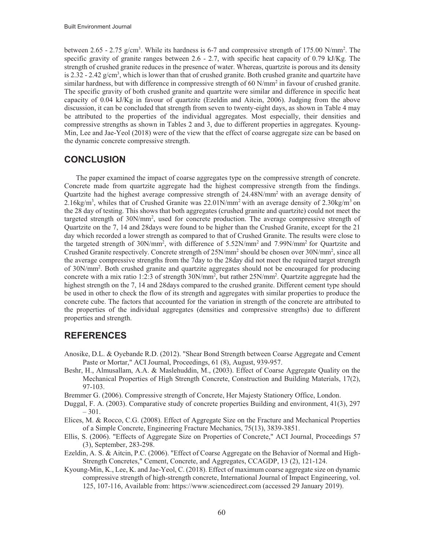between 2.65 - 2.75  $g/cm<sup>3</sup>$ . While its hardness is 6-7 and compressive strength of 175.00 N/mm<sup>2</sup>. The specific gravity of granite ranges between 2.6 - 2.7, with specific heat capacity of 0.79 kJ/Kg. The strength of crushed granite reduces in the presence of water. Whereas, quartzite is porous and its density is 2.32 - 2.42  $g/cm<sup>3</sup>$ , which is lower than that of crushed granite. Both crushed granite and quartzite have similar hardness, but with difference in compressive strength of 60 N/mm<sup>2</sup> in favour of crushed granite. The specific gravity of both crushed granite and quartzite were similar and difference in specific heat capacity of 0.04 kJ/Kg in favour of quartzite (Ezeldin and Aitcin, 2006). Judging from the above discussion, it can be concluded that strength from seven to twenty-eight days, as shown in Table 4 may be attributed to the properties of the individual aggregates. Most especially, their densities and compressive strengths as shown in Tables 2 and 3, due to different properties in aggregates. Kyoung-Min, Lee and Jae-Yeol (2018) were of the view that the effect of coarse aggregate size can be based on the dynamic concrete compressive strength.

# **CONCLUSION**

The paper examined the impact of coarse aggregates type on the compressive strength of concrete. Concrete made from quartzite aggregate had the highest compressive strength from the findings. Quartzite had the highest average compressive strength of 24.48N/mm2 with an average density of 2.16kg/m<sup>3</sup>, whiles that of Crushed Granite was  $22.01$ N/mm<sup>2</sup> with an average density of  $2.30$ kg/m<sup>3</sup> on the 28 day of testing. This shows that both aggregates (crushed granite and quartzite) could not meet the targeted strength of 30N/mm<sup>2</sup>, used for concrete production. The average compressive strength of Quartzite on the 7, 14 and 28days were found to be higher than the Crushed Granite, except for the 21 day which recorded a lower strength as compared to that of Crushed Granite. The results were close to the targeted strength of 30N/mm<sup>2</sup>, with difference of 5.52N/mm<sup>2</sup> and 7.99N/mm<sup>2</sup> for Quartzite and Crushed Granite respectively. Concrete strength of 25N/mm<sup>2</sup> should be chosen over 30N/mm<sup>2</sup>, since all the average compressive strengths from the 7day to the 28day did not meet the required target strength of 30N/mm2 . Both crushed granite and quartzite aggregates should not be encouraged for producing concrete with a mix ratio 1:2:3 of strength 30N/mm<sup>2</sup>, but rather 25N/mm<sup>2</sup>. Quartzite aggregate had the highest strength on the 7, 14 and 28days compared to the crushed granite. Different cement type should be used in other to check the flow of its strength and aggregates with similar properties to produce the concrete cube. The factors that accounted for the variation in strength of the concrete are attributed to the properties of the individual aggregates (densities and compressive strengths) due to different properties and strength.

# **REFERENCES**

- Anosike, D.L. & Oyebande R.D. (2012). "Shear Bond Strength between Coarse Aggregate and Cement Paste or Mortar," ACI Journal, Proceedings, 61 (8), August, 939-957.
- Beshr, H., Almusallam, A.A. & Maslehuddin, M., (2003). Effect of Coarse Aggregate Quality on the Mechanical Properties of High Strength Concrete, Construction and Building Materials, 17(2), 97-103.
- Bremmer G. (2006). Compressive strength of Concrete, Her Majesty Stationery Office, London.
- Duggal, F. A. (2003). Comparative study of concrete properties Building and environment, 41(3), 297 – 301.
- Elices, M. & Rocco, C.G. (2008). Effect of Aggregate Size on the Fracture and Mechanical Properties of a Simple Concrete, Engineering Fracture Mechanics, 75(13), 3839-3851.
- Ellis, S. (2006). "Effects of Aggregate Size on Properties of Concrete," ACI Journal, Proceedings 57 (3), September, 283-298.
- Ezeldin, A. S. & Aitcin, P.C. (2006). "Effect of Coarse Aggregate on the Behavior of Normal and High-Strength Concretes," Cement, Concrete, and Aggregates, CCAGDP, 13 (2), 121-124.
- Kyoung-Min, K., Lee, K. and Jae-Yeol, C. (2018). Effect of maximum coarse aggregate size on dynamic compressive strength of high-strength concrete, International Journal of Impact Engineering, vol. 125, 107-116, Available from: https://www.sciencedirect.com (accessed 29 January 2019).